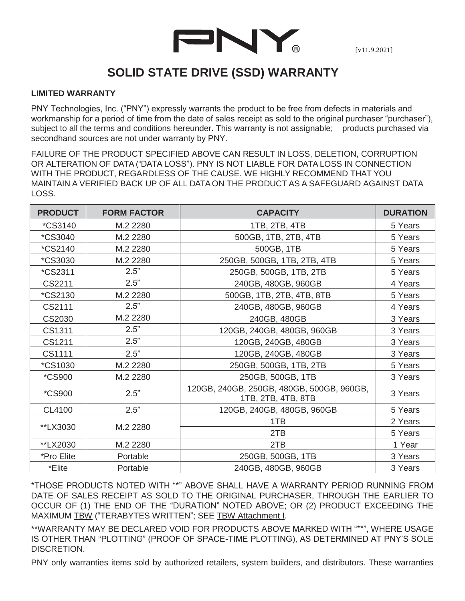

[v11.9.2021]

## **SOLID STATE DRIVE (SSD) WARRANTY**

## **LIMITED WARRANTY**

PNY Technologies, Inc. ("PNY") expressly warrants the product to be free from defects in materials and workmanship for a period of time from the date of sales receipt as sold to the original purchaser "purchaser"), subject to all the terms and conditions hereunder. This warranty is not assignable; products purchased via secondhand sources are not under warranty by PNY.

FAILURE OF THE PRODUCT SPECIFIED ABOVE CAN RESULT IN LOSS, DELETION, CORRUPTION OR ALTERATION OF DATA ("DATA LOSS"). PNY IS NOT LIABLE FOR DATA LOSS IN CONNECTION WITH THE PRODUCT, REGARDLESS OF THE CAUSE. WE HIGHLY RECOMMEND THAT YOU MAINTAIN A VERIFIED BACK UP OF ALL DATAON THE PRODUCT AS A SAFEGUARD AGAINST DATA LOSS.

| <b>PRODUCT</b>        | <b>FORM FACTOR</b> | <b>CAPACITY</b>                                                 | <b>DURATION</b> |
|-----------------------|--------------------|-----------------------------------------------------------------|-----------------|
| <i><b>*CS3140</b></i> | M.2 2280           | 1TB, 2TB, 4TB                                                   | 5 Years         |
| <i><b>*CS3040</b></i> | M.2 2280           | 500GB, 1TB, 2TB, 4TB                                            | 5 Years         |
| <i><b>*CS2140</b></i> | M.2 2280           | 500GB, 1TB                                                      | 5 Years         |
| *CS3030               | M.2 2280           | 250GB, 500GB, 1TB, 2TB, 4TB                                     | 5 Years         |
| <i><b>*CS2311</b></i> | 2.5"               | 250GB, 500GB, 1TB, 2TB                                          | 5 Years         |
| CS2211                | 2.5"               | 240GB, 480GB, 960GB                                             | 4 Years         |
| <i><b>*CS2130</b></i> | M.2 2280           | 500GB, 1TB, 2TB, 4TB, 8TB                                       | 5 Years         |
| CS2111                | 2.5"               | 240GB, 480GB, 960GB                                             | 4 Years         |
| CS2030                | M.2 2280           | 240GB, 480GB                                                    | 3 Years         |
| CS1311                | 2.5"               | 120GB, 240GB, 480GB, 960GB                                      | 3 Years         |
| CS1211                | 2.5"               | 120GB, 240GB, 480GB                                             | 3 Years         |
| CS1111                | 2.5"               | 120GB, 240GB, 480GB                                             | 3 Years         |
| <i><b>*CS1030</b></i> | M.2 2280           | 250GB, 500GB, 1TB, 2TB                                          | 5 Years         |
| <i><b>*CS900</b></i>  | M.2 2280           | 250GB, 500GB, 1TB                                               | 3 Years         |
| <i><b>*CS900</b></i>  | 2.5"               | 120GB, 240GB, 250GB, 480GB, 500GB, 960GB,<br>1TB, 2TB, 4TB, 8TB | 3 Years         |
| CL4100                | 2.5"               | 120GB, 240GB, 480GB, 960GB                                      | 5 Years         |
| **LX3030              | M.2 2280           | 1TB                                                             | 2 Years         |
|                       |                    | 2TB                                                             | 5 Years         |
| **LX2030              | M.2 2280           | 2TB                                                             | 1 Year          |
| *Pro Elite            | Portable           | 250GB, 500GB, 1TB                                               | 3 Years         |
| *Elite                | Portable           | 240GB, 480GB, 960GB                                             | 3 Years         |

\*THOSE PRODUCTS NOTED WITH "\*" ABOVE SHALL HAVE A WARRANTY PERIOD RUNNING FROM DATE OF SALES RECEIPT AS SOLD TO THE ORIGINAL PURCHASER, THROUGH THE EARLIER TO OCCUR OF (1) THE END OF THE "DURATION" NOTED ABOVE; OR (2) PRODUCT EXCEEDING THE MAXIMUM TBW ("TERABYTES WRITTEN"; SEE TBW Attachment I.

\*\*WARRANTY MAY BE DECLARED VOID FOR PRODUCTS ABOVE MARKED WITH "\*\*", WHERE USAGE IS OTHER THAN "PLOTTING" (PROOF OF SPACE-TIME PLOTTING), AS DETERMINED AT PNY'S SOLE DISCRETION.

PNY only warranties items sold by authorized retailers, system builders, and distributors. These warranties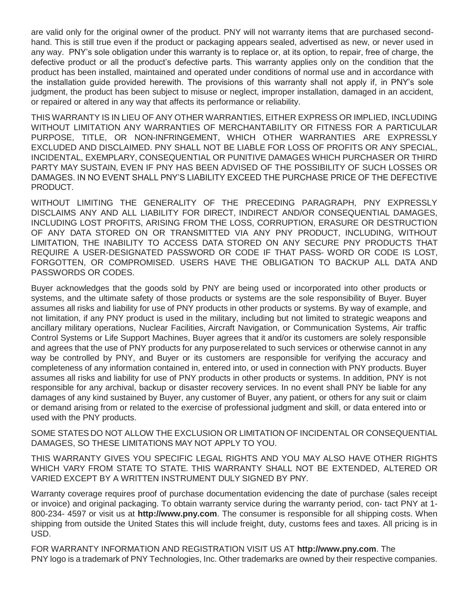are valid only for the original owner of the product. PNY will not warranty items that are purchased secondhand. This is still true even if the product or packaging appears sealed, advertised as new, or never used in any way. PNY's sole obligation under this warranty is to replace or, at its option, to repair, free of charge, the defective product or all the product's defective parts. This warranty applies only on the condition that the product has been installed, maintained and operated under conditions of normal use and in accordance with the installation guide provided herewith. The provisions of this warranty shall not apply if, in PNY's sole judgment, the product has been subject to misuse or neglect, improper installation, damaged in an accident, or repaired or altered in any way that affects its performance or reliability.

THIS WARRANTY IS IN LIEU OF ANY OTHER WARRANTIES, EITHER EXPRESS OR IMPLIED, INCLUDING WITHOUT LIMITATION ANY WARRANTIES OF MERCHANTABILITY OR FITNESS FOR A PARTICULAR PURPOSE, TITLE, OR NON-INFRINGEMENT, WHICH OTHER WARRANTIES ARE EXPRESSLY EXCLUDED AND DISCLAIMED. PNY SHALL NOT BE LIABLE FOR LOSS OF PROFITS OR ANY SPECIAL, INCIDENTAL, EXEMPLARY, CONSEQUENTIAL OR PUNITIVE DAMAGES WHICH PURCHASER OR THIRD PARTY MAY SUSTAIN, EVEN IF PNY HAS BEEN ADVISED OF THE POSSIBILITY OF SUCH LOSSES OR DAMAGES. IN NO EVENT SHALL PNY'S LIABILITY EXCEED THE PURCHASE PRICE OF THE DEFECTIVE PRODUCT.

WITHOUT LIMITING THE GENERALITY OF THE PRECEDING PARAGRAPH, PNY EXPRESSLY DISCLAIMS ANY AND ALL LIABILITY FOR DIRECT, INDIRECT AND/OR CONSEQUENTIAL DAMAGES, INCLUDING LOST PROFITS, ARISING FROM THE LOSS, CORRUPTION, ERASURE OR DESTRUCTION OF ANY DATA STORED ON OR TRANSMITTED VIA ANY PNY PRODUCT, INCLUDING, WITHOUT LIMITATION, THE INABILITY TO ACCESS DATA STORED ON ANY SECURE PNY PRODUCTS THAT REQUIRE A USER-DESIGNATED PASSWORD OR CODE IF THAT PASS- WORD OR CODE IS LOST, FORGOTTEN, OR COMPROMISED. USERS HAVE THE OBLIGATION TO BACKUP ALL DATA AND PASSWORDS OR CODES.

Buyer acknowledges that the goods sold by PNY are being used or incorporated into other products or systems, and the ultimate safety of those products or systems are the sole responsibility of Buyer. Buyer assumes all risks and liability for use of PNY products in other products or systems. By way of example, and not limitation, if any PNY product is used in the military, including but not limited to strategic weapons and ancillary military operations, Nuclear Facilities, Aircraft Navigation, or Communication Systems, Air traffic Control Systems or Life Support Machines, Buyer agrees that it and/or its customers are solely responsible and agrees that the use of PNY products for any purposerelated to such services or otherwise cannot in any way be controlled by PNY, and Buyer or its customers are responsible for verifying the accuracy and completeness of any information contained in, entered into, or used in connection with PNY products. Buyer assumes all risks and liability for use of PNY products in other products or systems. In addition, PNY is not responsible for any archival, backup or disaster recovery services. In no event shall PNY be liable for any damages of any kind sustained by Buyer, any customer of Buyer, any patient, or others for any suit or claim or demand arising from or related to the exercise of professional judgment and skill, or data entered into or used with the PNY products.

SOME STATES DO NOT ALLOW THE EXCLUSION OR LIMITATION OF INCIDENTAL OR CONSEQUENTIAL DAMAGES, SO THESE LIMITATIONS MAY NOT APPLY TO YOU.

THIS WARRANTY GIVES YOU SPECIFIC LEGAL RIGHTS AND YOU MAY ALSO HAVE OTHER RIGHTS WHICH VARY FROM STATE TO STATE. THIS WARRANTY SHALL NOT BE EXTENDED, ALTERED OR VARIED EXCEPT BY A WRITTEN INSTRUMENT DULY SIGNED BY PNY.

Warranty coverage requires proof of purchase documentation evidencing the date of purchase (sales receipt or invoice) and original packaging. To obtain warranty service during the warranty period, con- tact PNY at 1- 800-234- 4597 or visit us at **[http://www.pny.com](http://www.pny.com/)**. The consumer is responsible for all shipping costs. When shipping from outside the United States this will include freight, duty, customs fees and taxes. All pricing is in USD.

FOR WARRANTY INFORMATION AND REGISTRATION VISIT US AT **[http://www.pny.com](http://www.pny.com/)**. The PNY logo is a trademark of PNY Technologies, Inc. Other trademarks are owned by their respective companies.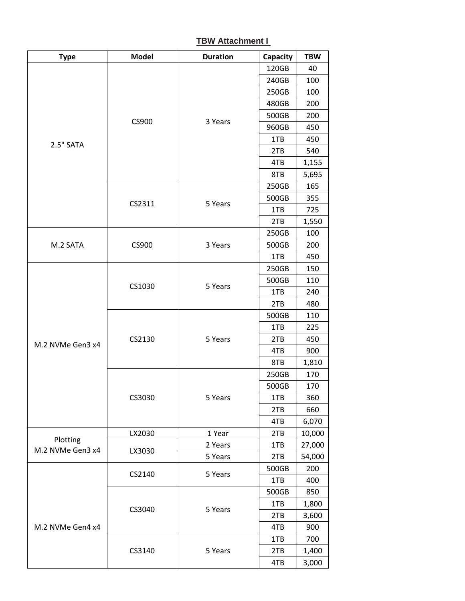## **TBW Attachment I**

| <b>Type</b>      | <b>Model</b> | <b>Duration</b> | Capacity | <b>TBW</b> |
|------------------|--------------|-----------------|----------|------------|
|                  |              | 3 Years         | 120GB    | 40         |
|                  | CS900        |                 | 240GB    | 100        |
|                  |              |                 | 250GB    | 100        |
|                  |              |                 | 480GB    | 200        |
|                  |              |                 | 500GB    | 200        |
|                  |              |                 | 960GB    | 450        |
| 2.5" SATA        |              |                 | 1TB      | 450        |
|                  |              |                 | 2TB      | 540        |
|                  |              |                 | 4TB      | 1,155      |
|                  |              |                 | 8TB      | 5,695      |
|                  |              | 5 Years         | 250GB    | 165        |
|                  |              |                 | 500GB    | 355        |
|                  | CS2311       |                 | 1TB      | 725        |
|                  |              |                 | 2TB      | 1,550      |
|                  |              |                 | 250GB    | 100        |
| M.2 SATA         | CS900        | 3 Years         | 500GB    | 200        |
|                  |              |                 | 1TB      | 450        |
|                  |              |                 | 250GB    | 150        |
|                  | CS1030       | 5 Years         | 500GB    | 110        |
|                  |              |                 | 1TB      | 240        |
|                  |              |                 | 2TB      | 480        |
|                  |              | 5 Years         | 500GB    | 110        |
|                  |              |                 | 1TB      | 225        |
| M.2 NVMe Gen3 x4 | CS2130       |                 | 2TB      | 450        |
|                  |              |                 | 4TB      | 900        |
|                  |              |                 | 8TB      | 1,810      |
|                  | CS3030       | 5 Years         | 250GB    | 170        |
|                  |              |                 | 500GB    | 170        |
|                  |              |                 | 1TB      | 360        |
|                  |              |                 | 2TB      | 660        |
|                  |              |                 | 4TB      | 6,070      |
| Plotting         | LX2030       | 1 Year          | 2TB      | 10,000     |
| M.2 NVMe Gen3 x4 | LX3030       | 2 Years         | 1TB      | 27,000     |
|                  |              | 5 Years         | 2TB      | 54,000     |
|                  | CS2140       | 5 Years         | 500GB    | 200        |
|                  |              |                 | 1TB      | 400        |
|                  | CS3040       | 5 Years         | 500GB    | 850        |
|                  |              |                 | 1TB      | 1,800      |
|                  |              |                 | 2TB      | 3,600      |
| M.2 NVMe Gen4 x4 |              |                 | 4TB      | 900        |
|                  | CS3140       |                 | 1TB      | 700        |
|                  |              | 5 Years         | 2TB      | 1,400      |
|                  |              |                 | 4TB      | 3,000      |